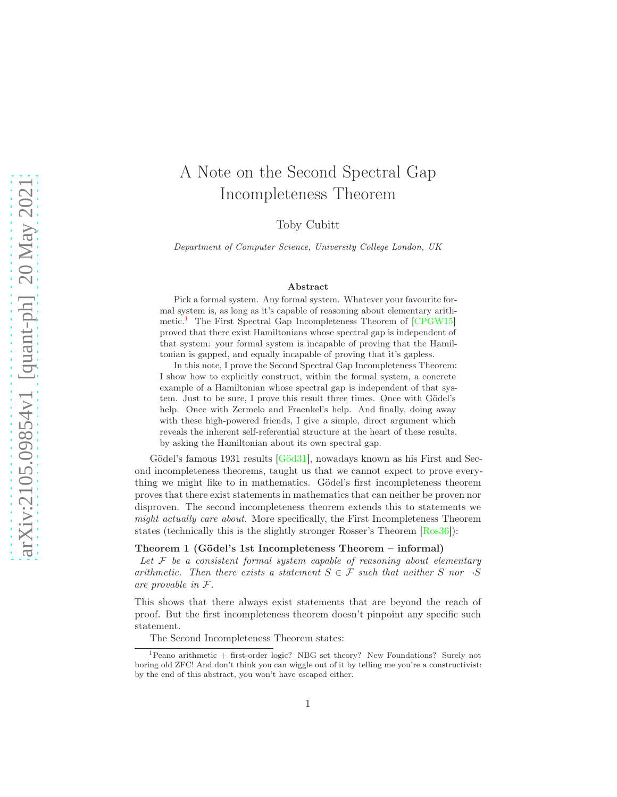# A Note on the Second Spectral Gap Incompleteness Theorem

Toby Cubitt

Department of Computer Science, University College London, UK

#### Abstract

Pick a formal system. Any formal system. Whatever your favourite formal system is, as long as it's capable of reasoning about elementary arith-metic.<sup>[1](#page-0-0)</sup> The First Spectral Gap Incompleteness Theorem of  $[CPGW15]$ proved that there exist Hamiltonians whose spectral gap is independent of that system: your formal system is incapable of proving that the Hamiltonian is gapped, and equally incapable of proving that it's gapless.

In this note, I prove the Second Spectral Gap Incompleteness Theorem: I show how to explicitly construct, within the formal system, a concrete example of a Hamiltonian whose spectral gap is independent of that system. Just to be sure, I prove this result three times. Once with Gödel's help. Once with Zermelo and Fraenkel's help. And finally, doing away with these high-powered friends, I give a simple, direct argument which reveals the inherent self-referential structure at the heart of these results, by asking the Hamiltonian about its own spectral gap.

Gödel's famous 1931 results [\[Göd31\]](#page-7-1), nowadays known as his First and Second incompleteness theorems, taught us that we cannot expect to prove everything we might like to in mathematics. Gödel's first incompleteness theorem proves that there exist statements in mathematics that can neither be proven nor disproven. The second incompleteness theorem extends this to statements we might actually care about. More specifically, the First Incompleteness Theorem states (technically this is the slightly stronger Rosser's Theorem [\[Ros36\]](#page-7-2)):

Theorem 1 (Gödel's 1st Incompleteness Theorem – informal)

Let  $F$  be a consistent formal system capable of reasoning about elementary arithmetic. Then there exists a statement  $S \in \mathcal{F}$  such that neither S nor  $\neg S$ are provable in F.

This shows that there always exist statements that are beyond the reach of proof. But the first incompleteness theorem doesn't pinpoint any specific such statement.

<span id="page-0-1"></span>The Second Incompleteness Theorem states:

<span id="page-0-0"></span><sup>&</sup>lt;sup>1</sup>Peano arithmetic + first-order logic? NBG set theory? New Foundations? Surely not boring old ZFC! And don't think you can wiggle out of it by telling me you're a constructivist: by the end of this abstract, you won't have escaped either.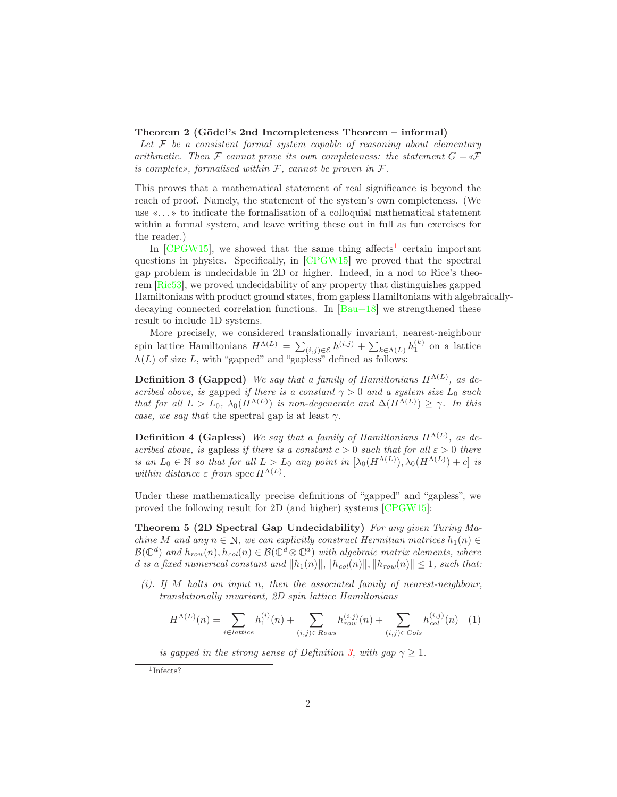#### Theorem 2 (Gödel's 2nd Incompleteness Theorem – informal)

Let  $F$  be a consistent formal system capable of reasoning about elementary arithmetic. Then F cannot prove its own completeness: the statement  $G = \mathscr{F}$ is complete», formalised within  $F$ , cannot be proven in  $F$ .

This proves that a mathematical statement of real significance is beyond the reach of proof. Namely, the statement of the system's own completeness. (We use «. . . » to indicate the formalisation of a colloquial mathematical statement within a formal system, and leave writing these out in full as fun exercises for the reader.)

In  $[CPGW15]$  $[CPGW15]$  $[CPGW15]$ , we showed that the same thing affects<sup>1</sup> certain important questions in physics. Specifically, in [\[CPGW15\]](#page-7-0) we proved that the spectral gap problem is undecidable in 2D or higher. Indeed, in a nod to Rice's theorem [\[Ric53](#page-7-3)], we proved undecidability of any property that distinguishes gapped Hamiltonians with product ground states, from gapless Hamiltonians with algebraicallydecaying connected correlation functions. In  $[Bau+18]$  we strengthened these result to include 1D systems.

More precisely, we considered translationally invariant, nearest-neighbour spin lattice Hamiltonians  $H^{\Lambda(L)} = \sum_{(i,j) \in \mathcal{E}} h^{(i,j)} + \sum_{k \in \Lambda(L)} h_1^{(k)}$  on a lattice  $\Lambda(L)$  of size L, with "gapped" and "gapless" defined as follows:

<span id="page-1-1"></span>**Definition 3 (Gapped)** We say that a family of Hamiltonians  $H^{\Lambda(L)}$ , as described above, is gapped if there is a constant  $\gamma > 0$  and a system size  $L_0$  such that for all  $L > L_0$ ,  $\lambda_0(H^{\Lambda(L)})$  is non-degenerate and  $\Delta(H^{\Lambda(L)}) \geq \gamma$ . In this case, we say that the spectral gap is at least  $\gamma$ .

<span id="page-1-2"></span>**Definition 4 (Gapless)** We say that a family of Hamiltonians  $H^{\Lambda(L)}$ , as described above, is gapless if there is a constant  $c > 0$  such that for all  $\varepsilon > 0$  there is an  $L_0 \in \mathbb{N}$  so that for all  $L > L_0$  any point in  $[\lambda_0(H^{\Lambda(L)}), \lambda_0(H^{\Lambda(L)}) + c]$  is within distance  $\varepsilon$  from spec  $H^{\Lambda(L)}$ .

<span id="page-1-4"></span>Under these mathematically precise definitions of "gapped" and "gapless", we proved the following result for 2D (and higher) systems [\[CPGW15\]](#page-7-0):

Theorem 5 (2D Spectral Gap Undecidability) For any given Turing Machine M and any  $n \in \mathbb{N}$ , we can explicitly construct Hermitian matrices  $h_1(n) \in$  $\mathcal{B}(\mathbb{C}^d)$  and  $h_{row}(n), h_{col}(n) \in \mathcal{B}(\mathbb{C}^d \otimes \mathbb{C}^d)$  with algebraic matrix elements, where d is a fixed numerical constant and  $||h_1(n)||, ||h_{col}(n)||, ||h_{row}(n)|| \leq 1$ , such that:

 $(i)$ . If M halts on input n, then the associated family of nearest-neighbour, translationally invariant, 2D spin lattice Hamiltonians

<span id="page-1-3"></span>
$$
H^{\Lambda(L)}(n) = \sum_{i \in lattice} h_1^{(i)}(n) + \sum_{(i,j) \in Rows} h_{row}^{(i,j)}(n) + \sum_{(i,j) \in Cols} h_{col}^{(i,j)}(n) \tag{1}
$$

is gapped in the strong sense of Definition [3,](#page-1-1) with gap  $\gamma \geq 1$ .

<span id="page-1-0"></span><sup>1</sup> Infects?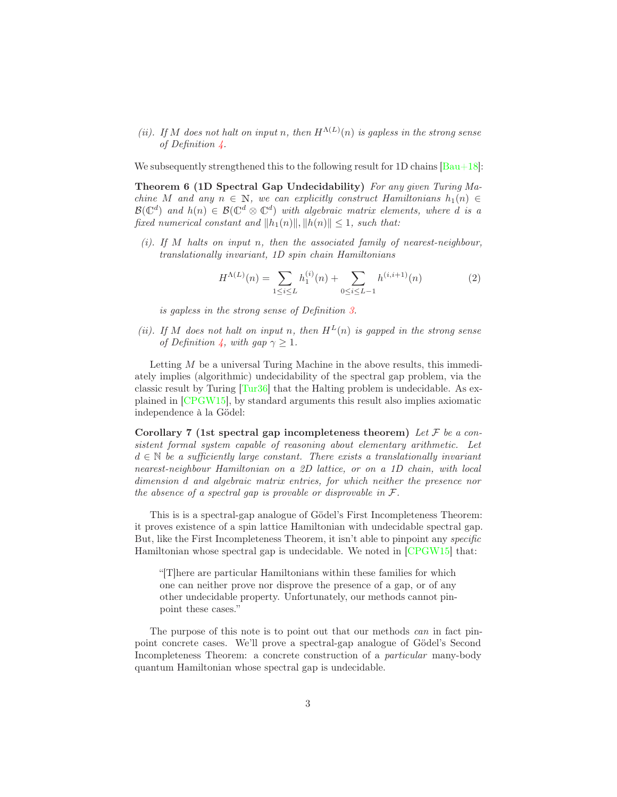(ii). If M does not halt on input n, then  $H^{\Lambda(L)}(n)$  is gapless in the strong sense of Definition [4.](#page-1-2)

<span id="page-2-1"></span>We subsequently strengthened this to the following result for 1D chains  $[Bau+18]$ :

Theorem 6 (1D Spectral Gap Undecidability) For any given Turing Machine M and any  $n \in \mathbb{N}$ , we can explicitly construct Hamiltonians  $h_1(n) \in$  $\mathcal{B}(\mathbb{C}^d)$  and  $h(n) \in \mathcal{B}(\mathbb{C}^d \otimes \mathbb{C}^d)$  with algebraic matrix elements, where d is a fixed numerical constant and  $||h_1(n)||, ||h(n)|| < 1$ , such that:

 $(i)$ . If M halts on input n, then the associated family of nearest-neighbour, translationally invariant, 1D spin chain Hamiltonians

<span id="page-2-0"></span>
$$
H^{\Lambda(L)}(n) = \sum_{1 \le i \le L} h_1^{(i)}(n) + \sum_{0 \le i \le L-1} h^{(i,i+1)}(n) \tag{2}
$$

is gapless in the strong sense of Definition [3.](#page-1-1)

(ii). If M does not halt on input n, then  $H^L(n)$  is gapped in the strong sense of Definition [4,](#page-1-2) with gap  $\gamma \geq 1$ .

Letting  $M$  be a universal Turing Machine in the above results, this immediately implies (algorithmic) undecidability of the spectral gap problem, via the classic result by Turing [\[Tur36\]](#page-7-5) that the Halting problem is undecidable. As explained in [\[CPGW15](#page-7-0)], by standard arguments this result also implies axiomatic independence à la Gödel:

<span id="page-2-2"></span>Corollary 7 (1st spectral gap incompleteness theorem) Let  $\mathcal F$  be a consistent formal system capable of reasoning about elementary arithmetic. Let  $d \in \mathbb{N}$  be a sufficiently large constant. There exists a translationally invariant nearest-neighbour Hamiltonian on a 2D lattice, or on a 1D chain, with local dimension d and algebraic matrix entries, for which neither the presence nor the absence of a spectral gap is provable or disprovable in  $\mathcal{F}.$ 

This is is a spectral-gap analogue of Gödel's First Incompleteness Theorem: it proves existence of a spin lattice Hamiltonian with undecidable spectral gap. But, like the First Incompleteness Theorem, it isn't able to pinpoint any specific Hamiltonian whose spectral gap is undecidable. We noted in [\[CPGW15\]](#page-7-0) that:

"[T]here are particular Hamiltonians within these families for which one can neither prove nor disprove the presence of a gap, or of any other undecidable property. Unfortunately, our methods cannot pinpoint these cases."

The purpose of this note is to point out that our methods can in fact pinpoint concrete cases. We'll prove a spectral-gap analogue of Gödel's Second Incompleteness Theorem: a concrete construction of a particular many-body quantum Hamiltonian whose spectral gap is undecidable.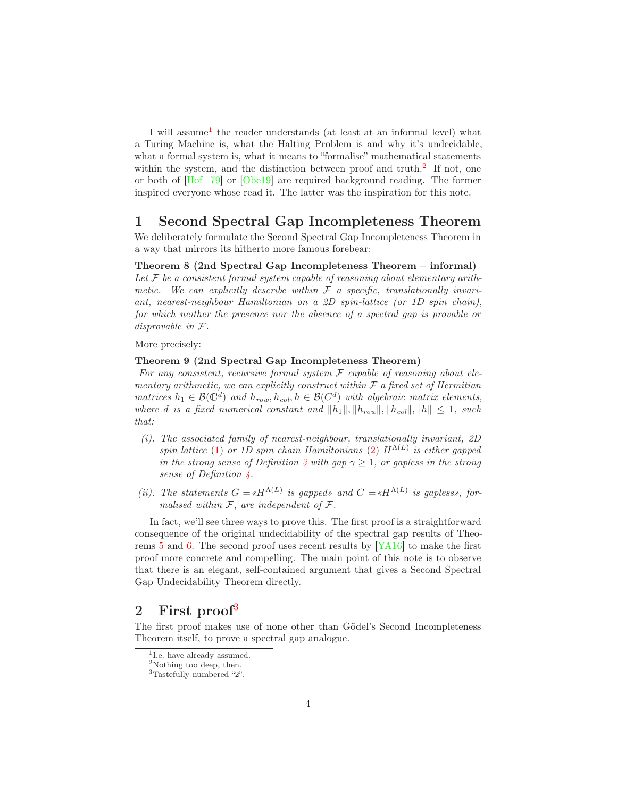I will assume<sup>[1](#page-3-0)</sup> the reader understands (at least at an informal level) what a Turing Machine is, what the Halting Problem is and why it's undecidable, what a formal system is, what it means to "formalise" mathematical statements within the system, and the distinction between proof and truth.<sup>[2](#page-3-1)</sup> If not, one or both of [\[Hof+79\]](#page-7-6) or [\[Obe19\]](#page-7-7) are required background reading. The former inspired everyone whose read it. The latter was the inspiration for this note.

## 1 Second Spectral Gap Incompleteness Theorem

We deliberately formulate the Second Spectral Gap Incompleteness Theorem in a way that mirrors its hitherto more famous forebear:

#### Theorem 8 (2nd Spectral Gap Incompleteness Theorem – informal)

Let  $\mathcal F$  be a consistent formal system capable of reasoning about elementary arithmetic. We can explicitly describe within  $\mathcal F$  a specific, translationally invariant, nearest-neighbour Hamiltonian on a 2D spin-lattice (or 1D spin chain), for which neither the presence nor the absence of a spectral gap is provable or disprovable in F.

<span id="page-3-3"></span>More precisely:

#### Theorem 9 (2nd Spectral Gap Incompleteness Theorem)

For any consistent, recursive formal system  $F$  capable of reasoning about elementary arithmetic, we can explicitly construct within  $\mathcal F$  a fixed set of Hermitian matrices  $h_1 \in \mathcal{B}(\mathbb{C}^d)$  and  $h_{row}, h_{col}, h \in \mathcal{B}(C^d)$  with algebraic matrix elements, where d is a fixed numerical constant and  $||h_1||, ||h_{row}||, ||h_{col}||, ||h|| \leq 1$ , such that:

- (i). The associated family of nearest-neighbour, translationally invariant, 2D spin lattice [\(1\)](#page-1-3) or 1D spin chain Hamiltonians [\(2\)](#page-2-0)  $H^{\Lambda(L)}$  is either gapped in the strong sense of Definition [3](#page-1-1) with gap  $\gamma > 1$ , or gapless in the strong sense of Definition [4.](#page-1-2)
- (ii). The statements  $G = \langle H^{\Lambda(L)} \rangle$  is gapped» and  $C = \langle H^{\Lambda(L)} \rangle$  is gapless», formalised within  $F$ , are independent of  $F$ .

In fact, we'll see three ways to prove this. The first proof is a straightforward consequence of the original undecidability of the spectral gap results of Theorems [5](#page-1-4) and [6.](#page-2-1) The second proof uses recent results by [\[YA16](#page-8-0)] to make the first proof more concrete and compelling. The main point of this note is to observe that there is an elegant, self-contained argument that gives a Second Spectral Gap Undecidability Theorem directly.

## 2 First proof<sup>[3](#page-3-2)</sup>

The first proof makes use of none other than Gödel's Second Incompleteness Theorem itself, to prove a spectral gap analogue.

<sup>1</sup> I.e. have already assumed.

<span id="page-3-0"></span><sup>2</sup>Nothing too deep, then.

<span id="page-3-2"></span><span id="page-3-1"></span><sup>3</sup>Tastefully numbered "2".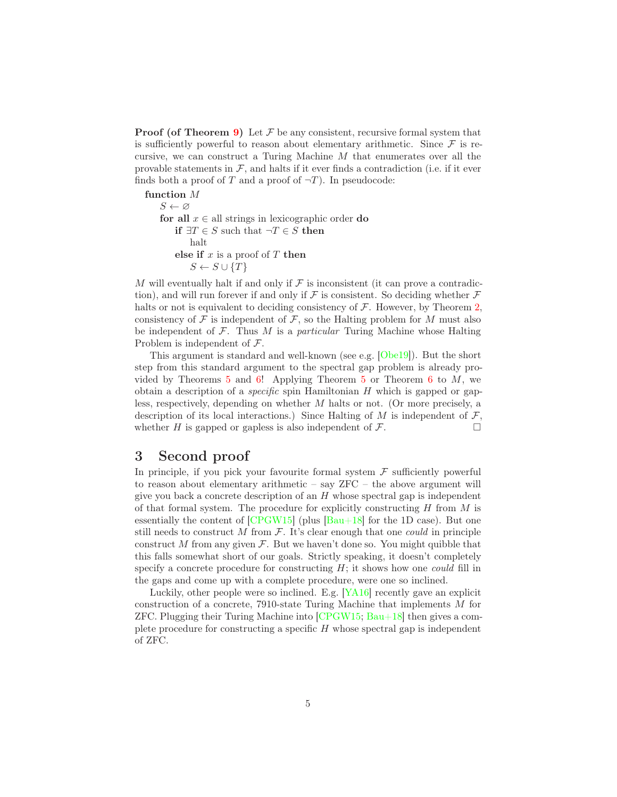**Proof (of Theorem [9\)](#page-3-3)** Let  $\mathcal F$  be any consistent, recursive formal system that is sufficiently powerful to reason about elementary arithmetic. Since  $\mathcal F$  is recursive, we can construct a Turing Machine M that enumerates over all the provable statements in  $\mathcal{F}$ , and halts if it ever finds a contradiction (i.e. if it ever finds both a proof of T and a proof of  $\neg T$ ). In pseudocode:

function M  $S \leftarrow \varnothing$ for all  $x \in$  all strings in lexicographic order do if  $\exists T \in S$  such that  $\neg T \in S$  then halt else if  $x$  is a proof of  $T$  then  $S \leftarrow S \cup \{T\}$ 

M will eventually halt if and only if  $\mathcal F$  is inconsistent (it can prove a contradiction), and will run forever if and only if  $\mathcal F$  is consistent. So deciding whether  $\mathcal F$ halts or not is equivalent to deciding consistency of  $\mathcal F$ . However, by Theorem [2,](#page-0-1) consistency of  $\mathcal F$  is independent of  $\mathcal F$ , so the Halting problem for M must also be independent of  $\mathcal F$ . Thus  $M$  is a *particular* Turing Machine whose Halting Problem is independent of F.

This argument is standard and well-known (see e.g. [\[Obe19\]](#page-7-7)). But the short step from this standard argument to the spectral gap problem is already pro-vided by Theorems [5](#page-1-4) and [6!](#page-2-1) Applying Theorem 5 or Theorem [6](#page-2-1) to  $M$ , we obtain a description of a *specific* spin Hamiltonian  $H$  which is gapped or gapless, respectively, depending on whether M halts or not. (Or more precisely, a description of its local interactions.) Since Halting of  $M$  is independent of  $\mathcal{F}$ , whether H is gapped or gapless is also independent of  $\mathcal{F}$ .

## 3 Second proof

In principle, if you pick your favourite formal system  $\mathcal F$  sufficiently powerful to reason about elementary arithmetic – say ZFC – the above argument will give you back a concrete description of an  $H$  whose spectral gap is independent of that formal system. The procedure for explicitly constructing  $H$  from  $M$  is essentially the content of  $[CPGW15]$  (plus  $[Bau+18]$  for the 1D case). But one still needs to construct M from  $\mathcal{F}$ . It's clear enough that one *could* in principle construct M from any given  $\mathcal F$ . But we haven't done so. You might quibble that this falls somewhat short of our goals. Strictly speaking, it doesn't completely specify a concrete procedure for constructing  $H$ ; it shows how one *could* fill in the gaps and come up with a complete procedure, were one so inclined.

Luckily, other people were so inclined. E.g. [\[YA16](#page-8-0)] recently gave an explicit construction of a concrete, 7910-state Turing Machine that implements M for ZFC. Plugging their Turing Machine into  $[CPGW15; Bau+18]$  $[CPGW15; Bau+18]$  $[CPGW15; Bau+18]$  then gives a complete procedure for constructing a specific H whose spectral gap is independent of ZFC.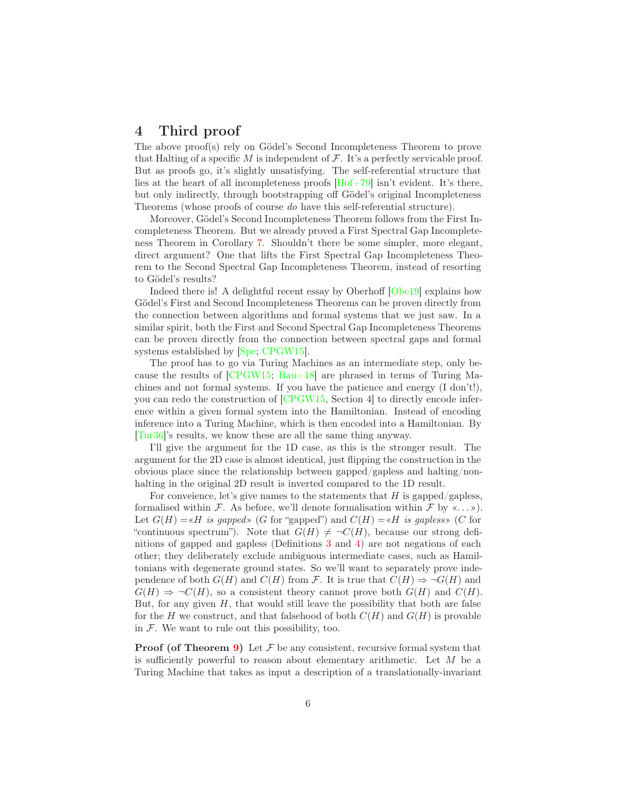# 4 Third proof

The above proof(s) rely on Gödel's Second Incompleteness Theorem to prove that Halting of a specific M is independent of  $\mathcal F$ . It's a perfectly servicable proof. But as proofs go, it's slightly unsatisfying. The self-referential structure that lies at the heart of all incompleteness proofs  $[Hof+79]$  isn't evident. It's there, but only indirectly, through bootstrapping off Gödel's original Incompleteness Theorems (whose proofs of course do have this self-referential structure).

Moreover, Gödel's Second Incompleteness Theorem follows from the First Incompleteness Theorem. But we already proved a First Spectral Gap Incompleteness Theorem in Corollary [7.](#page-2-2) Shouldn't there be some simpler, more elegant, direct argument? One that lifts the First Spectral Gap Incompleteness Theorem to the Second Spectral Gap Incompleteness Theorem, instead of resorting to Gödel's results?

Indeed there is! A delightful recent essay by Oberhoff [\[Obe19](#page-7-7)] explains how Gödel's First and Second Incompleteness Theorems can be proven directly from the connection between algorithms and formal systems that we just saw. In a similar spirit, both the First and Second Spectral Gap Incompleteness Theorems can be proven directly from the connection between spectral gaps and formal systems established by [\[Spe](#page-7-8); [CPGW15](#page-7-0)].

The proof has to go via Turing Machines as an intermediate step, only because the results of  $[CPGW15; Bau+18]$  $[CPGW15; Bau+18]$  $[CPGW15; Bau+18]$  are phrased in terms of Turing Machines and not formal systems. If you have the patience and energy (I don't!), you can redo the construction of [\[CPGW15,](#page-7-0) Section 4] to directly encode inference within a given formal system into the Hamiltonian. Instead of encoding inference into a Turing Machine, which is then encoded into a Hamiltonian. By [\[Tur36](#page-7-5)]'s results, we know these are all the same thing anyway.

I'll give the argument for the 1D case, as this is the stronger result. The argument for the 2D case is almost identical, just flipping the construction in the obvious place since the relationship between gapped/gapless and halting/nonhalting in the original 2D result is inverted compared to the 1D result.

For conveience, let's give names to the statements that  $H$  is gapped/gapless, formalised within F. As before, we'll denote formalisation within F by  $\langle \dots \rangle$ . Let  $G(H) = H$  is gapped» (G for "gapped") and  $C(H) = H$  is gapless» (C for "continuous spectrum"). Note that  $G(H) \neq \neg C(H)$ , because our strong definitions of gapped and gapless (Definitions [3](#page-1-1) and [4\)](#page-1-2) are not negations of each other; they deliberately exclude ambiguous intermediate cases, such as Hamiltonians with degenerate ground states. So we'll want to separately prove independence of both  $G(H)$  and  $C(H)$  from F. It is true that  $C(H) \Rightarrow \neg G(H)$  and  $G(H) \Rightarrow \neg C(H)$ , so a consistent theory cannot prove both  $G(H)$  and  $C(H)$ . But, for any given  $H$ , that would still leave the possibility that both are false for the H we construct, and that falsehood of both  $C(H)$  and  $G(H)$  is provable in  $F$ . We want to rule out this possibility, too.

**Proof (of Theorem [9\)](#page-3-3)** Let  $\mathcal F$  be any consistent, recursive formal system that is sufficiently powerful to reason about elementary arithmetic. Let  $M$  be a Turing Machine that takes as input a description of a translationally-invariant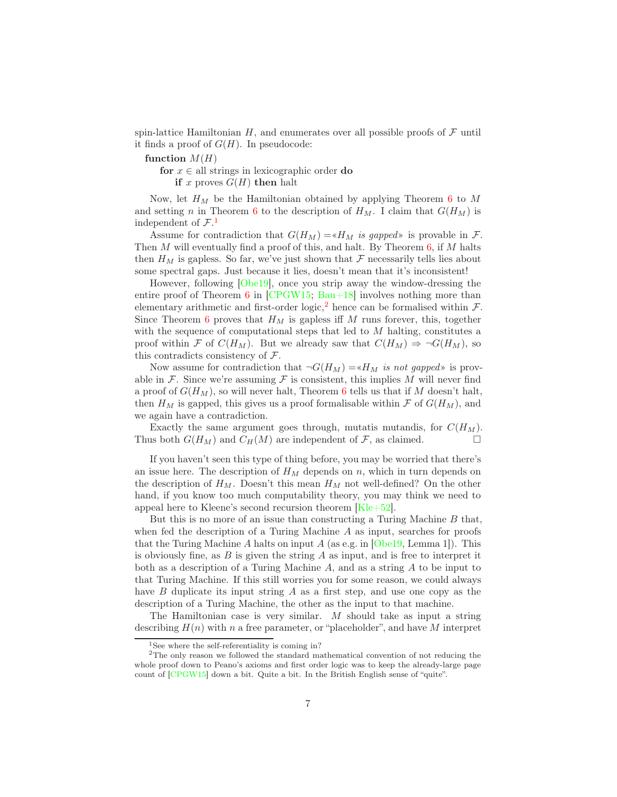spin-lattice Hamiltonian H, and enumerates over all possible proofs of  $\mathcal F$  until it finds a proof of  $G(H)$ . In pseudocode:

function  $M(H)$ 

for  $x \in$  all strings in lexicographic order do

if x proves  $G(H)$  then halt

Now, let  $H_M$  be the Hamiltonian obtained by applying Theorem [6](#page-2-1) to M and setting n in Theorem [6](#page-2-1) to the description of  $H_M$ . I claim that  $G(H_M)$  is independent of  $\mathcal{F}.\mathbf{1}$  $\mathcal{F}.\mathbf{1}$  $\mathcal{F}.\mathbf{1}$ 

Assume for contradiction that  $G(H_M) = H_M$  is gapped» is provable in F. Then  $M$  will eventually find a proof of this, and halt. By Theorem  $6$ , if  $M$  halts then  $H_M$  is gapless. So far, we've just shown that  $\mathcal F$  necessarily tells lies about some spectral gaps. Just because it lies, doesn't mean that it's inconsistent!

However, following [\[Obe19\]](#page-7-7), once you strip away the window-dressing the entire proof of Theorem [6](#page-2-1) in  $[CPGW15; Bau+18]$  $[CPGW15; Bau+18]$  involves nothing more than elementary arithmetic and first-order logic,<sup>[2](#page-6-1)</sup> hence can be formalised within  $\mathcal{F}$ . Since Theorem [6](#page-2-1) proves that  $H_M$  is gapless iff M runs forever, this, together with the sequence of computational steps that led to  $M$  halting, constitutes a proof within F of  $C(H_M)$ . But we already saw that  $C(H_M) \Rightarrow \neg G(H_M)$ , so this contradicts consistency of F.

Now assume for contradiction that  $\neg G(H_M) = H_M$  is not gapped» is provable in  $\mathcal F$ . Since we're assuming  $\mathcal F$  is consistent, this implies M will never find a proof of  $G(H_M)$ , so will never halt, Theorem [6](#page-2-1) tells us that if M doesn't halt, then  $H_M$  is gapped, this gives us a proof formalisable within  $\mathcal F$  of  $G(H_M)$ , and we again have a contradiction.

Exactly the same argument goes through, mutatis mutandis, for  $C(H_M)$ . Thus both  $G(H_M)$  and  $C_H(M)$  are independent of F, as claimed.

If you haven't seen this type of thing before, you may be worried that there's an issue here. The description of  $H_M$  depends on n, which in turn depends on the description of  $H_M$ . Doesn't this mean  $H_M$  not well-defined? On the other hand, if you know too much computability theory, you may think we need to appeal here to Kleene's second recursion theorem  $Kle+52$ .

But this is no more of an issue than constructing a Turing Machine B that, when fed the description of a Turing Machine  $A$  as input, searches for proofs that the Turing Machine A halts on input A (as e.g. in  $[Obe19, Lemma 1]$ ). This is obviously fine, as  $B$  is given the string  $A$  as input, and is free to interpret it both as a description of a Turing Machine  $A$ , and as a string  $A$  to be input to that Turing Machine. If this still worries you for some reason, we could always have  $B$  duplicate its input string  $A$  as a first step, and use one copy as the description of a Turing Machine, the other as the input to that machine.

The Hamiltonian case is very similar.  $M$  should take as input a string describing  $H(n)$  with n a free parameter, or "placeholder", and have M interpret

<span id="page-6-1"></span><span id="page-6-0"></span><sup>&</sup>lt;sup>1</sup>See where the self-referentiality is coming in?

<sup>2</sup>The only reason we followed the standard mathematical convention of not reducing the whole proof down to Peano's axioms and first order logic was to keep the already-large page count of [\[CPGW15\]](#page-7-0) down a bit. Quite a bit. In the British English sense of "quite".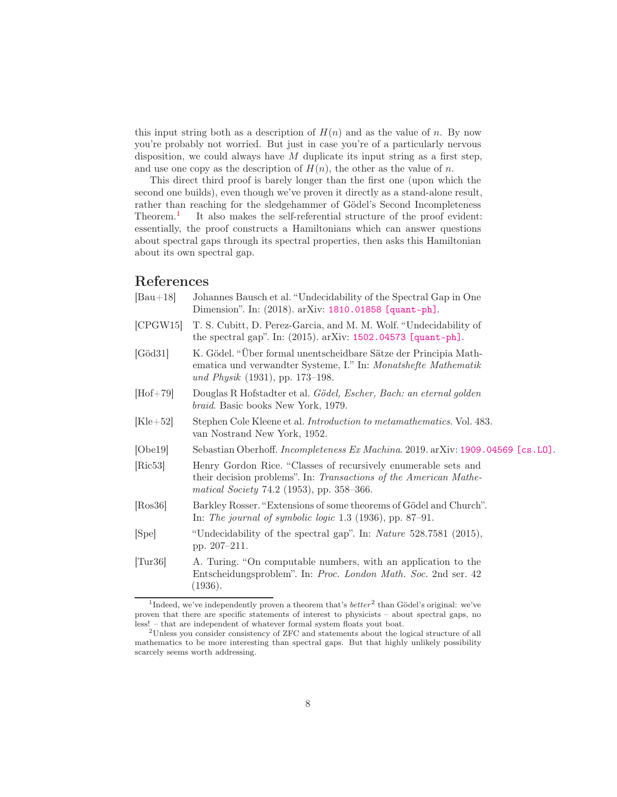this input string both as a description of  $H(n)$  and as the value of n. By now you're probably not worried. But just in case you're of a particularly nervous disposition, we could always have  $M$  duplicate its input string as a first step, and use one copy as the description of  $H(n)$ , the other as the value of n.

This direct third proof is barely longer than the first one (upon which the second one builds), even though we've proven it directly as a stand-alone result, rather than reaching for the sledgehammer of Gödel's Second Incompleteness Theorem.[1](#page-7-10) It also makes the self-referential structure of the proof evident: essentially, the proof constructs a Hamiltonians which can answer questions about spectral gaps through its spectral properties, then asks this Hamiltonian about its own spectral gap.

### <span id="page-7-4"></span>References

<span id="page-7-9"></span><span id="page-7-7"></span><span id="page-7-6"></span><span id="page-7-1"></span><span id="page-7-0"></span>

| $[Bau+18]$                     | Johannes Bausch et al. "Undecidability of the Spectral Gap in One<br>Dimension". In: (2018). arXiv: 1810.01858 [quant-ph].                                                       |
|--------------------------------|----------------------------------------------------------------------------------------------------------------------------------------------------------------------------------|
| [CPGW15]                       | T. S. Cubitt, D. Perez-Garcia, and M. M. Wolf. "Undecidability of<br>the spectral gap". In: $(2015)$ . arXiv: 1502.04573 [quant-ph].                                             |
| $[G\ddot{o}d31]$               | K. Gödel. "Über formal unentscheidbare Sätze der Principia Math-<br>ematica und verwandter Systeme, I." In: Monatshefte Mathematik<br>und Physik (1931), pp. 173–198.            |
| $[Hof+79]$                     | Douglas R Hofstadter et al. Gödel, Escher, Bach: an eternal golden<br>braid. Basic books New York, 1979.                                                                         |
| $[Kle+52]$                     | Stephen Cole Kleene et al. <i>Introduction to metamathematics</i> . Vol. 483.<br>van Nostrand New York, 1952.                                                                    |
| [Obe19]                        | Sebastian Oberhoff. Incompleteness Ex Machina. 2019. arXiv: 1909.04569 [cs.L0].                                                                                                  |
| [Ric53]                        | Henry Gordon Rice. "Classes of recursively enumerable sets and<br>their decision problems". In: Transactions of the American Mathe-<br>matical Society 74.2 (1953), pp. 358–366. |
| [Ros36]                        | Barkley Rosser. "Extensions of some theorems of Gödel and Church".<br>In: The journal of symbolic logic $1.3$ (1936), pp. 87–91.                                                 |
| [Spe]                          | "Undecidability of the spectral gap". In: Nature $528.7581$ (2015),<br>pp. 207-211.                                                                                              |
| $\lbrack \text{Tur}36 \rbrack$ | A. Turing. "On computable numbers, with an application to the<br>Entscheidungsproblem". In: Proc. London Math. Soc. 2nd ser. 42<br>(1936).                                       |
|                                |                                                                                                                                                                                  |

<span id="page-7-10"></span><span id="page-7-8"></span><span id="page-7-5"></span><span id="page-7-3"></span><span id="page-7-2"></span><sup>1</sup>Indeed, we've independently proven a theorem that's  $better^2$  than Gödel's original: we've proven that there are specific statements of interest to physicists – about spectral gaps, no less! – that are independent of whatever formal system floats yout boat.

<sup>2</sup>Unless you consider consistency of ZFC and statements about the logical structure of all mathematics to be more interesting than spectral gaps. But that highly unlikely possibility scarcely seems worth addressing.